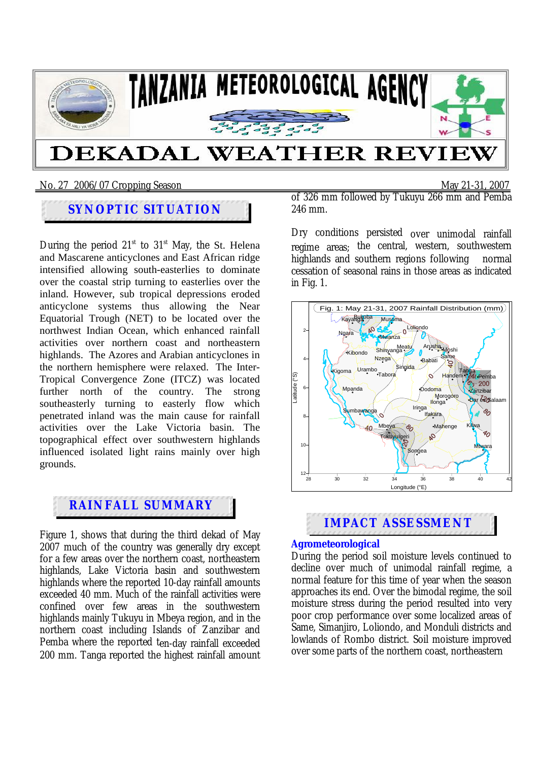

#### No. 27 2006/07 Cropping SeasonMay 21-31, 2007

# **SYNOPTIC SITUATION**

During the period  $21<sup>st</sup>$  to  $31<sup>st</sup>$  May, the St. Helena and Mascarene anticyclones and East African ridge intensified allowing south-easterlies to dominate over the coastal strip turning to easterlies over the inland. However, sub tropical depressions eroded anticyclone systems thus allowing the Near Equatorial Trough (NET) to be located over the northwest Indian Ocean, which enhanced rainfall activities over northern coast and northeastern highlands. The Azores and Arabian anticyclones in the northern hemisphere were relaxed. The Inter-Tropical Convergence Zone (ITCZ) was located further north of the country. The strong southeasterly turning to easterly flow which penetrated inland was the main cause for rainfall activities over the Lake Victoria basin. The topographical effect over southwestern highlands influenced isolated light rains mainly over high grounds.

# **RAINFALL SUMMARY**

Figure 1, shows that during the third dekad of May 2007 much of the country was generally dry except for a few areas over the northern coast, northeastern highlands, Lake Victoria basin and southwestern highlands where the reported 10-day rainfall amounts exceeded 40 mm. Much of the rainfall activities were confined over few areas in the southwestern highlands mainly Tukuyu in Mbeya region, and in the northern coast including Islands of Zanzibar and Pemba where the reported ten-day rainfall exceeded 200 mm. Tanga reported the highest rainfall amount of 326 mm followed by Tukuyu 266 mm and Pemba 246 mm.

Dry conditions persisted over unimodal rainfall regime areas; the central, western, southwestern highlands and southern regions following normal cessation of seasonal rains in those areas as indicated in Fig. 1.





### **Agrometeorological**

During the period soil moisture levels continued to decline over much of unimodal rainfall regime, a normal feature for this time of year when the season approaches its end. Over the bimodal regime, the soil moisture stress during the period resulted into very poor crop performance over some localized areas of Same, Simanjiro, Loliondo, and Monduli districts and lowlands of Rombo district. Soil moisture improved over some parts of the northern coast, northeastern